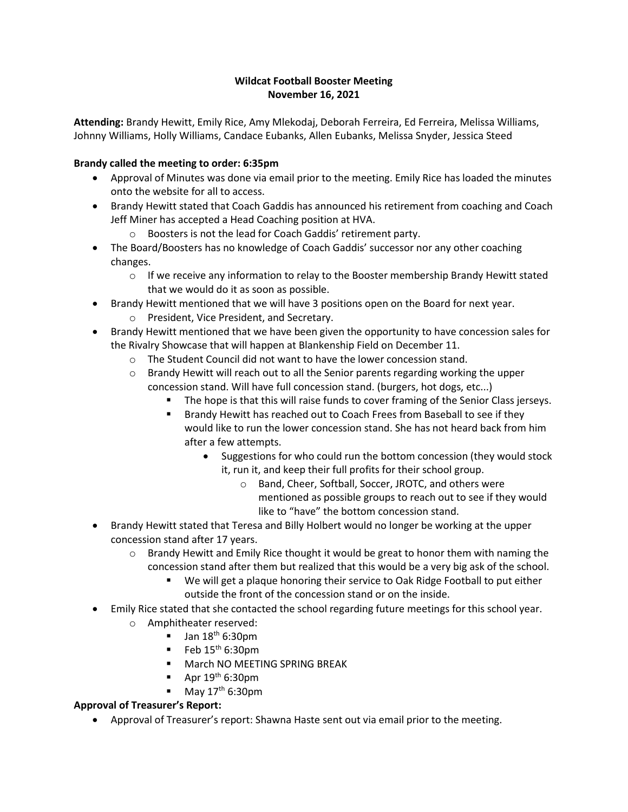# **Wildcat Football Booster Meeting November 16, 2021**

**Attending:** Brandy Hewitt, Emily Rice, Amy Mlekodaj, Deborah Ferreira, Ed Ferreira, Melissa Williams, Johnny Williams, Holly Williams, Candace Eubanks, Allen Eubanks, Melissa Snyder, Jessica Steed

# **Brandy called the meeting to order: 6:35pm**

- Approval of Minutes was done via email prior to the meeting. Emily Rice has loaded the minutes onto the website for all to access.
- Brandy Hewitt stated that Coach Gaddis has announced his retirement from coaching and Coach Jeff Miner has accepted a Head Coaching position at HVA.
	- o Boosters is not the lead for Coach Gaddis' retirement party.
- The Board/Boosters has no knowledge of Coach Gaddis' successor nor any other coaching changes.
	- $\circ$  If we receive any information to relay to the Booster membership Brandy Hewitt stated that we would do it as soon as possible.
- Brandy Hewitt mentioned that we will have 3 positions open on the Board for next year. o President, Vice President, and Secretary.
- Brandy Hewitt mentioned that we have been given the opportunity to have concession sales for the Rivalry Showcase that will happen at Blankenship Field on December 11.
	- o The Student Council did not want to have the lower concession stand.
	- $\circ$  Brandy Hewitt will reach out to all the Senior parents regarding working the upper concession stand. Will have full concession stand. (burgers, hot dogs, etc...)
		- The hope is that this will raise funds to cover framing of the Senior Class jerseys.
			- Brandy Hewitt has reached out to Coach Frees from Baseball to see if they would like to run the lower concession stand. She has not heard back from him after a few attempts.
				- Suggestions for who could run the bottom concession (they would stock it, run it, and keep their full profits for their school group.
					- o Band, Cheer, Softball, Soccer, JROTC, and others were mentioned as possible groups to reach out to see if they would like to "have" the bottom concession stand.
- Brandy Hewitt stated that Teresa and Billy Holbert would no longer be working at the upper concession stand after 17 years.
	- $\circ$  Brandy Hewitt and Emily Rice thought it would be great to honor them with naming the concession stand after them but realized that this would be a very big ask of the school.
		- We will get a plaque honoring their service to Oak Ridge Football to put either outside the front of the concession stand or on the inside.
- Emily Rice stated that she contacted the school regarding future meetings for this school year.
	- o Amphitheater reserved:
		- $\blacksquare$  Jan 18<sup>th</sup> 6:30pm
		- $\blacksquare$  Feb 15<sup>th</sup> 6:30pm
		- March NO MEETING SPRING BREAK
		- Apr  $19<sup>th</sup>$  6:30pm
		- $\blacksquare$  May 17<sup>th</sup> 6:30pm

# **Approval of Treasurer's Report:**

• Approval of Treasurer's report: Shawna Haste sent out via email prior to the meeting.